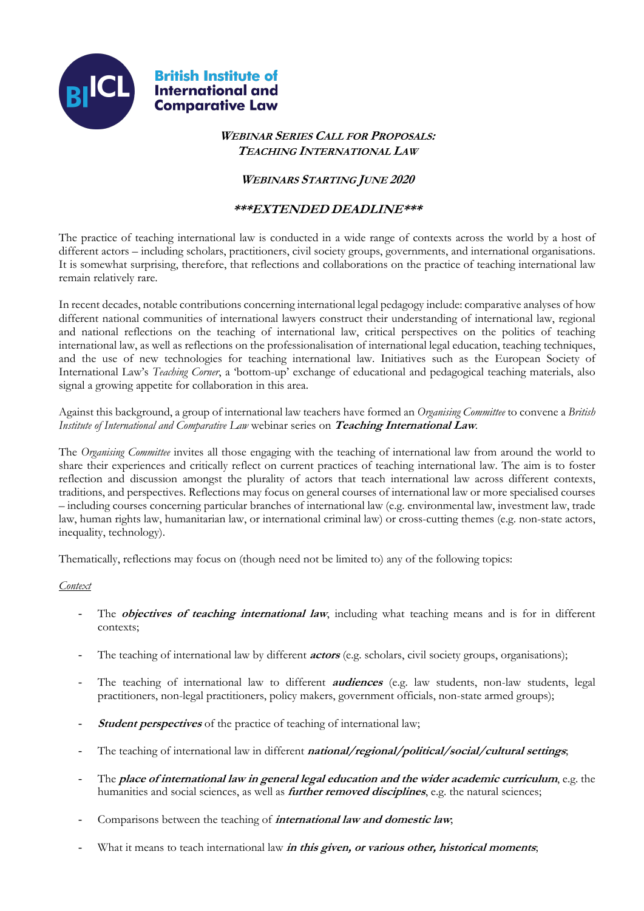

# **WEBINAR SERIES CALL FOR PROPOSALS: TEACHING INTERNATIONAL LAW**

# **WEBINARS STARTING JUNE 2020**

# **\*\*\*EXTENDED DEADLINE\*\*\***

The practice of teaching international law is conducted in a wide range of contexts across the world by a host of different actors – including scholars, practitioners, civil society groups, governments, and international organisations. It is somewhat surprising, therefore, that reflections and collaborations on the practice of teaching international law remain relatively rare.

In recent decades, notable contributions concerning international legal pedagogy include: comparative analyses of how different national communities of international lawyers construct their understanding of international law, regional and national reflections on the teaching of international law, critical perspectives on the politics of teaching international law, as well as reflections on the professionalisation of international legal education, teaching techniques, and the use of new technologies for teaching international law. Initiatives such as the European Society of International Law's *Teaching Corner*, a 'bottom-up' exchange of educational and pedagogical teaching materials, also signal a growing appetite for collaboration in this area.

Against this background, a group of international law teachers have formed an *Organising Committee* to convene a *British Institute of International and Comparative Law* webinar series on **Teaching International Law**.

The *Organising Committee* invites all those engaging with the teaching of international law from around the world to share their experiences and critically reflect on current practices of teaching international law. The aim is to foster reflection and discussion amongst the plurality of actors that teach international law across different contexts, traditions, and perspectives. Reflections may focus on general courses of international law or more specialised courses – including courses concerning particular branches of international law (e.g. environmental law, investment law, trade law, human rights law, humanitarian law, or international criminal law) or cross-cutting themes (e.g. non-state actors, inequality, technology).

Thematically, reflections may focus on (though need not be limited to) any of the following topics:

# *Context*

- The **objectives of teaching international law**, including what teaching means and is for in different contexts;
- The teaching of international law by different **actors** (e.g. scholars, civil society groups, organisations);
- The teaching of international law to different **audiences** (e.g. law students, non-law students, legal practitioners, non-legal practitioners, policy makers, government officials, non-state armed groups);
- **Student perspectives** of the practice of teaching of international law;
- The teaching of international law in different *national/regional/political/social/cultural settings*;
- The **place of international law in general legal education and the wider academic curriculum**, e.g. the humanities and social sciences, as well as **further removed disciplines**, e.g. the natural sciences;
- Comparisons between the teaching of **international law and domestic law**;
- What it means to teach international law *in this given, or various other, historical moments*;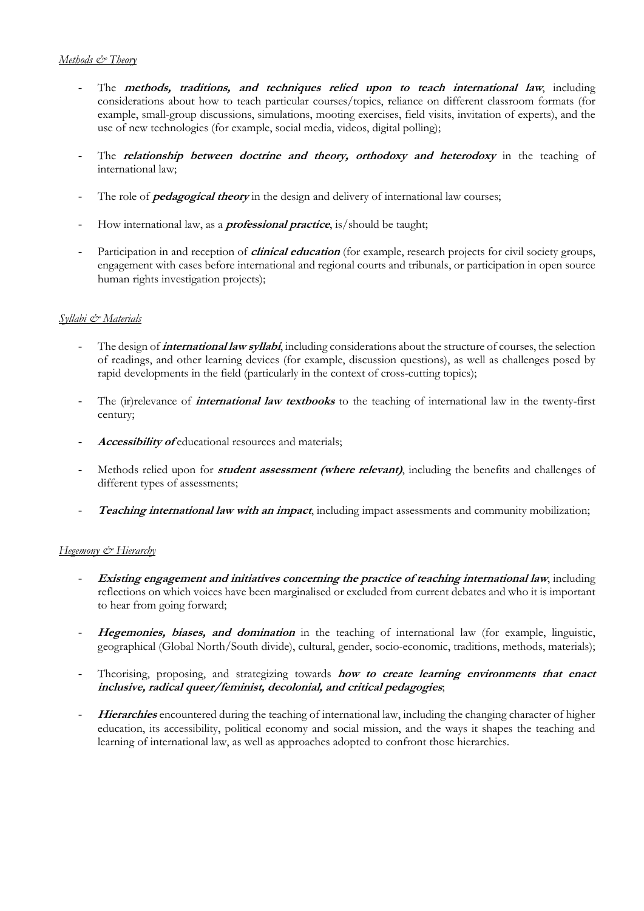# *Methods & Theory*

- The **methods, traditions, and techniques relied upon to teach international law**, including considerations about how to teach particular courses/topics, reliance on different classroom formats (for example, small-group discussions, simulations, mooting exercises, field visits, invitation of experts), and the use of new technologies (for example, social media, videos, digital polling);
- The **relationship between doctrine and theory, orthodoxy and heterodoxy** in the teaching of international law;
- The role of **pedagogical theory** in the design and delivery of international law courses;
- How international law, as a **professional practice**, is/should be taught;
- Participation in and reception of *clinical education* (for example, research projects for civil society groups, engagement with cases before international and regional courts and tribunals, or participation in open source human rights investigation projects);

# *Syllabi & Materials*

- The design of **international law syllabi**, including considerations about the structure of courses, the selection of readings, and other learning devices (for example, discussion questions), as well as challenges posed by rapid developments in the field (particularly in the context of cross-cutting topics);
- The (ir)relevance of **international law textbooks** to the teaching of international law in the twenty-first century;
- Accessibility of educational resources and materials;
- Methods relied upon for **student assessment** (where relevant), including the benefits and challenges of different types of assessments;
- **Teaching international law with an impact**, including impact assessments and community mobilization;

# *Hegemony & Hierarchy*

- **Existing engagement and initiatives concerning the practice of teaching international law, including** reflections on which voices have been marginalised or excluded from current debates and who it is important to hear from going forward;
- **Hegemonies, biases, and domination** in the teaching of international law (for example, linguistic, geographical (Global North/South divide), cultural, gender, socio-economic, traditions, methods, materials);
- Theorising, proposing, and strategizing towards **how to create learning environments that enact inclusive, radical queer/feminist, decolonial, and critical pedagogies**;
- Hierarchies encountered during the teaching of international law, including the changing character of higher education, its accessibility, political economy and social mission, and the ways it shapes the teaching and learning of international law, as well as approaches adopted to confront those hierarchies.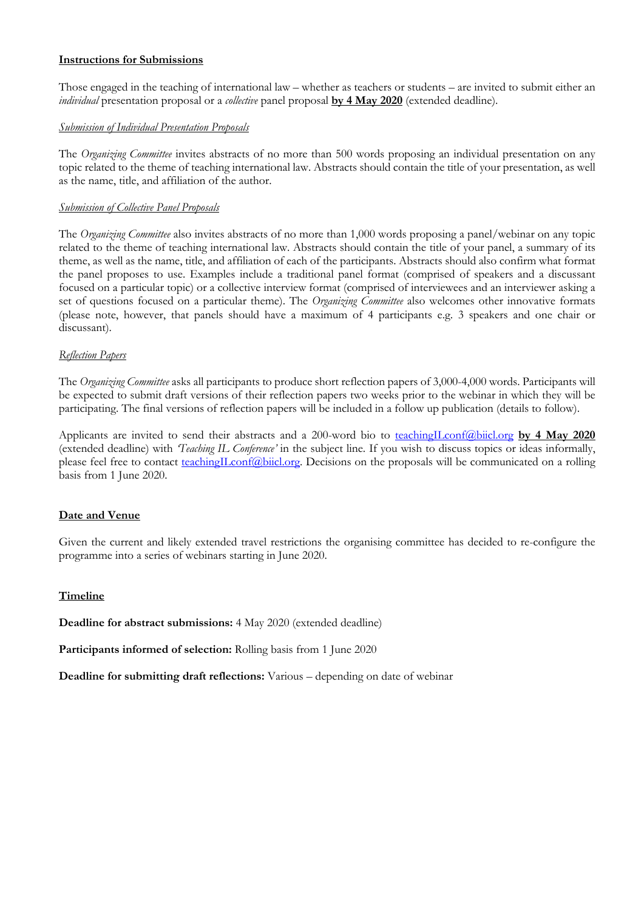# **Instructions for Submissions**

Those engaged in the teaching of international law – whether as teachers or students – are invited to submit either an *individual* presentation proposal or a *collective* panel proposal **by 4 May 2020** (extended deadline).

# *Submission of Individual Presentation Proposals*

The *Organizing Committee* invites abstracts of no more than 500 words proposing an individual presentation on any topic related to the theme of teaching international law. Abstracts should contain the title of your presentation, as well as the name, title, and affiliation of the author.

# *Submission of Collective Panel Proposals*

The *Organizing Committee* also invites abstracts of no more than 1,000 words proposing a panel/webinar on any topic related to the theme of teaching international law. Abstracts should contain the title of your panel, a summary of its theme, as well as the name, title, and affiliation of each of the participants. Abstracts should also confirm what format the panel proposes to use. Examples include a traditional panel format (comprised of speakers and a discussant focused on a particular topic) or a collective interview format (comprised of interviewees and an interviewer asking a set of questions focused on a particular theme). The *Organizing Committee* also welcomes other innovative formats (please note, however, that panels should have a maximum of 4 participants e.g. 3 speakers and one chair or discussant).

#### *Reflection Papers*

The *Organizing Committee* asks all participants to produce short reflection papers of 3,000-4,000 words. Participants will be expected to submit draft versions of their reflection papers two weeks prior to the webinar in which they will be participating. The final versions of reflection papers will be included in a follow up publication (details to follow).

Applicants are invited to send their abstracts and a 200-word bio to teachingILconf@biicl.org **by 4 May 2020** (extended deadline) with *'Teaching IL Conference'* in the subject line. If you wish to discuss topics or ideas informally, please feel free to contact teachingILconf@biicl.org. Decisions on the proposals will be communicated on a rolling basis from 1 June 2020.

#### **Date and Venue**

Given the current and likely extended travel restrictions the organising committee has decided to re-configure the programme into a series of webinars starting in June 2020.

#### **Timeline**

**Deadline for abstract submissions:** 4 May 2020 (extended deadline)

Participants informed of selection: Rolling basis from 1 June 2020

**Deadline for submitting draft reflections:** Various – depending on date of webinar